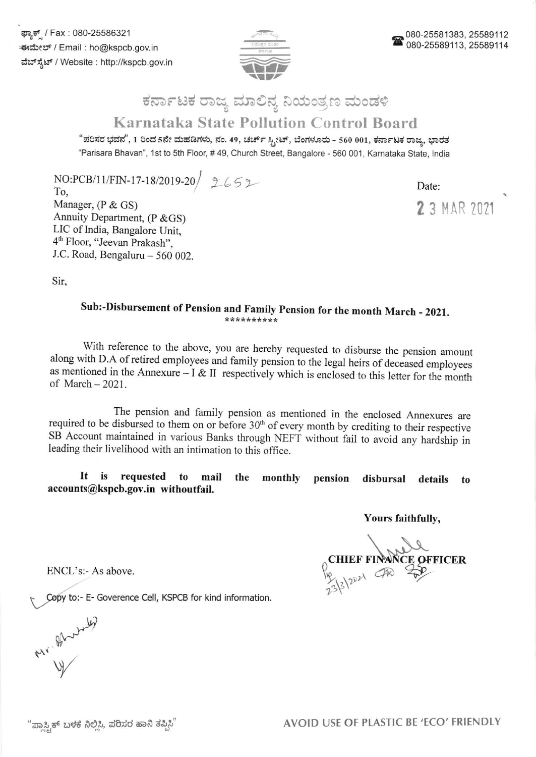

### ಕರ್ನಾಟಕ ರಾಜ್ಯ ಮಾಲಿನ್ಯ ನಿಯಂತ್ರಣ ಮಂಡಳಿ

### Karnataka State Pollution Control Board

"ಪರಿಸರ ಭವನ", 1 ರಿಂದ 5ನೇ ಮಹಡಿಗಳು, ನಂ. 49, ಚರ್ಚ್ ಸ್ಟೀಟ್, ಬೆಂಗಳೂರು - 560 001, ಕರ್ನಾಟಕ ರಾಜ್ಯ, ಭಾರತ "Parisara Bhavan", 1st to 5th Floor, # 49, Church Street, Bangalore - 560 001, Karnataka State, India

 $NO:PCB/11/FIN-17-18/2019-20$ , 2652

To, Manager, (P & GS) Annuity Department, (P & GS) LIC of India, Bangalore Unit, 4<sup>th</sup> Floor, "Jeevan Prakash", J.C. Road, Bengaluru  $-560002$ . Date:

2 3 MAR 2021

Sir,

# Sub:-Disbursement of Pension and Family Pension for the month March - 2021.

With reference to the above, you are hereby requested to disburse the pension amount along with D.A of retired employees and family pension to the legal heirs of deceased employees as mentioned in the Annexure - I & II respectively which is enclosed to this letter for the month of March - 2021.

The pension and family pension as mentioned in the enclosed Annexures are required to be disbursed to them on or before 30<sup>th</sup> of every month by crediting to their respective SB Account maintained in various Banks through NEFT without fail to avoid any hardship in leading their livelihood with an intimation to this office.

It is requested to mail the accounts@kspcb.gov.in withoutfail. monthly pension disbursal details to

Yours faithfully,

 $\Omega$ <sub>c</sub>  $233$ @ CE OFFICER

ENCL's:- As above.

lopy to:- E- Goverence Cell, KSPCB for kind information.

 $\mu$ Uw Are 12